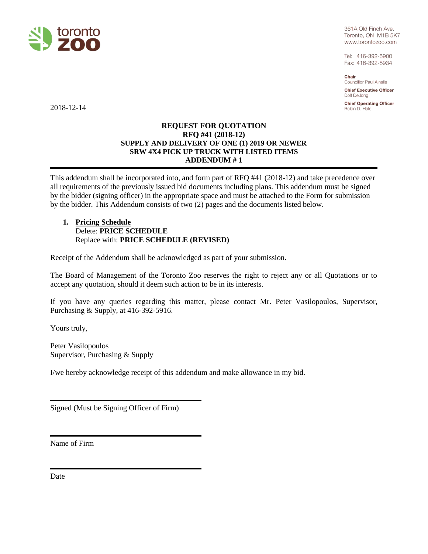

2018-12-14

361A Old Finch Ave. Toronto, ON M1B 5K7 www.torontozoo.com

Tel: 416-392-5900 Fax: 416-392-5934

Chair Councillor Paul Ainslie

**Chief Executive Officer** Dolf DeJona

**Chief Operating Officer** Robin D. Hale

## **REQUEST FOR QUOTATION RFQ #41 (2018-12) SUPPLY AND DELIVERY OF ONE (1) 2019 OR NEWER SRW 4X4 PICK UP TRUCK WITH LISTED ITEMS ADDENDUM # 1**

This addendum shall be incorporated into, and form part of RFQ #41 (2018-12) and take precedence over all requirements of the previously issued bid documents including plans. This addendum must be signed by the bidder (signing officer) in the appropriate space and must be attached to the Form for submission by the bidder. This Addendum consists of two (2) pages and the documents listed below.

## **1. Pricing Schedule** Delete: **PRICE SCHEDULE** Replace with: **PRICE SCHEDULE (REVISED)**

Receipt of the Addendum shall be acknowledged as part of your submission.

The Board of Management of the Toronto Zoo reserves the right to reject any or all Quotations or to accept any quotation, should it deem such action to be in its interests.

If you have any queries regarding this matter, please contact Mr. Peter Vasilopoulos, Supervisor, Purchasing & Supply, at 416-392-5916.

Yours truly,

Peter Vasilopoulos Supervisor, Purchasing & Supply

I/we hereby acknowledge receipt of this addendum and make allowance in my bid.

Signed (Must be Signing Officer of Firm)

Name of Firm

Date